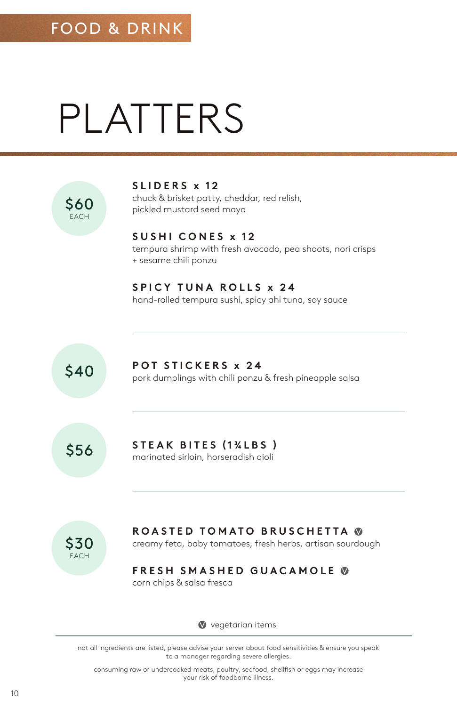# PLATTERS



not all ingredients are listed, please advise your server about food sensitivities & ensure you speak to a manager regarding severe allergies.

consuming raw or undercooked meats, poultry, seafood, shellfish or eggs may increase your risk of foodborne illness.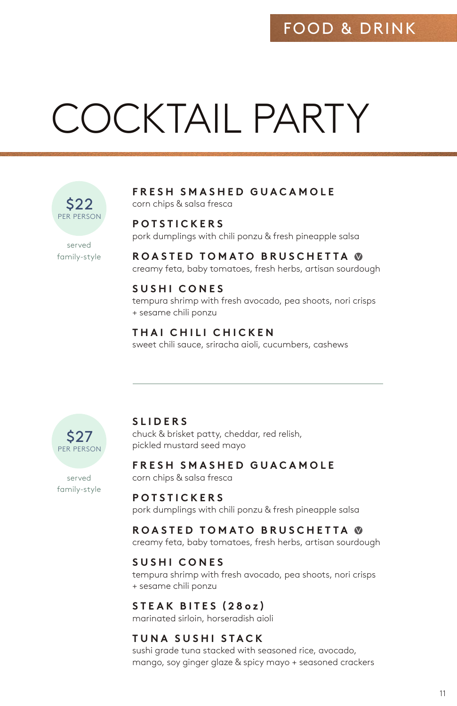## FOOD & DRINK

# COCKTAIL PARTY



served family-style

#### **FRESH SMASHED GUACAMOLE** corn chips & salsa fresca

#### **POTSTICKERS**

pork dumplings with chili ponzu & fresh pineapple salsa

**ROASTED TOMATO BRUSCHETTA**  creamy feta, baby tomatoes, fresh herbs, artisan sourdough

#### **SUSHI CONES**

tempura shrimp with fresh avocado, pea shoots, nori crisps + sesame chili ponzu

### **THAI CHILI CHICKEN**

sweet chili sauce, sriracha aioli, cucumbers, cashews



served family-style

#### **SLIDERS**

chuck & brisket patty, cheddar, red relish, pickled mustard seed mayo

**FRESH SMASHED GUACAMOLE**

corn chips & salsa fresca

#### **POTSTICKERS**

pork dumplings with chili ponzu & fresh pineapple salsa

#### **ROASTED TOMATO BRUSCHETTA**

creamy feta, baby tomatoes, fresh herbs, artisan sourdough

#### **SUSHI CONES**

tempura shrimp with fresh avocado, pea shoots, nori crisps + sesame chili ponzu

#### **STEAK BITES (28 o z )**

marinated sirloin, horseradish aioli

#### **TUNA SUSHI STACK**

sushi grade tuna stacked with seasoned rice, avocado, mango, soy ginger glaze & spicy mayo + seasoned crackers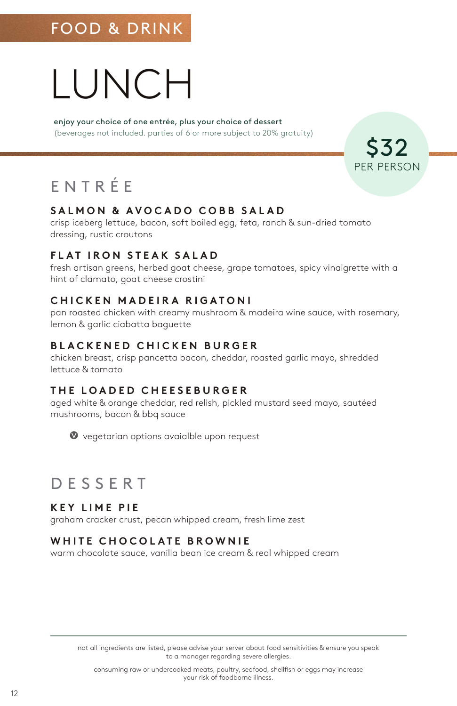## FOOD & DRINK

# LUNCH

enjoy your choice of one entrée, plus your choice of dessert (beverages not included. parties of 6 or more subject to 20% gratuity)

\$32 PER PERSON

# ENTR É E

#### **SALMON & AVOCADO COBB SALAD**

crisp iceberg lettuce, bacon, soft boiled egg, feta, ranch & sun-dried tomato dressing, rustic croutons

#### **FLAT IRON STEAK SALAD**

fresh artisan greens, herbed goat cheese, grape tomatoes, spicy vinaigrette with a hint of clamato, goat cheese crostini

#### **CHICKEN MADEIRA RIGATONI**

pan roasted chicken with creamy mushroom & madeira wine sauce, with rosemary, lemon & garlic ciabatta baguette

#### **BLACKENED CHICKEN BURGER**

chicken breast, crisp pancetta bacon, cheddar, roasted garlic mayo, shredded lettuce & tomato

#### **THE LOADED CHEESEBURGER**

aged white & orange cheddar, red relish, pickled mustard seed mayo, sautéed mushrooms, bacon & bbq sauce



### DESSERT

#### **KEY LIME PIE**

graham cracker crust, pecan whipped cream, fresh lime zest

#### **WHITE CHOCOLATE BROWNIE**

warm chocolate sauce, vanilla bean ice cream & real whipped cream

not all ingredients are listed, please advise your server about food sensitivities & ensure you speak to a manager regarding severe allergies.